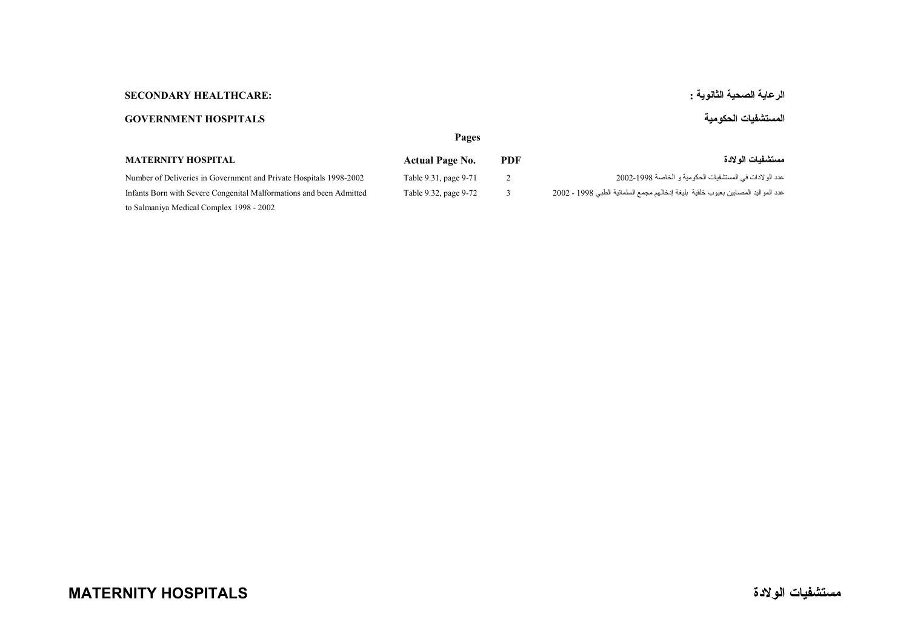## **الرعاية الصحية الثانوية : :HEALTHCARE SECONDARY**

## **المستشفيات الحكومية HOSPITALS GOVERNMENT**

|                                                                                                                 | Pages                  |            |                                                                                   |
|-----------------------------------------------------------------------------------------------------------------|------------------------|------------|-----------------------------------------------------------------------------------|
| <b>MATERNITY HOSPITAL</b>                                                                                       | <b>Actual Page No.</b> | <b>PDF</b> | مستشفيات الو لادة                                                                 |
| Number of Deliveries in Government and Private Hospitals 1998-2002                                              | Table 9.31, page 9-71  |            | عدد الو لادات في المستشفيات الحكومية و الخاصة 1998-2002                           |
| Infants Born with Severe Congenital Malformations and been Admitted<br>to Salmaniya Medical Complex 1998 - 2002 | Table 9.32, page 9-72  |            | عدد المواليد المصابين بعيوب خلقية  بليغة إدخالهم مجمع السلمانية الطبي 1998 - 2002 |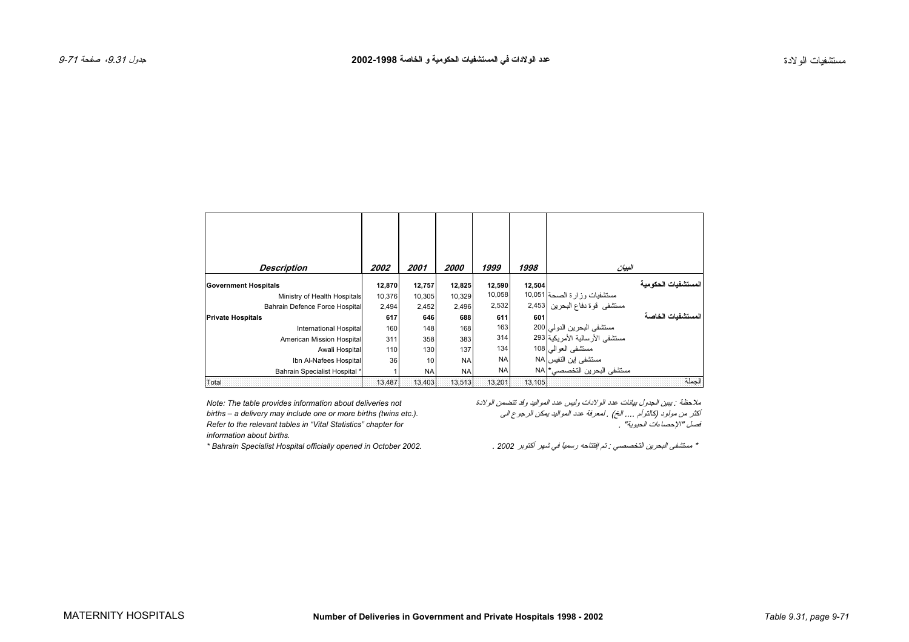<span id="page-1-0"></span>

| <b>Description</b>             | 2002   | 2001            | 2000      | 1999      | 1998   | البيان                           |                      |
|--------------------------------|--------|-----------------|-----------|-----------|--------|----------------------------------|----------------------|
| <b>Government Hospitals</b>    | 12,870 | 12,757          | 12,825    | 12,590    | 12,504 |                                  | المستشفيات الحكو مبة |
| Ministry of Health Hospitals   | 10,376 | 10,305          | 10,329    | 10,058    |        | مستشفيات وزارة الصحة 10,051      |                      |
| Bahrain Defence Force Hospital | 2,494  | 2,452           | 2,496     | 2,532     |        | مستشفى قوة دفاع البحرين 2,453    |                      |
| <b>Private Hospitals</b>       | 617    | 646             | 688       | 611       | 601    |                                  | المستشفيات الخاصة    |
| International Hospital         | 160    | 148             | 168       | 163       |        | مستشفى البحرين الدولي 200        |                      |
| American Mission Hospital      | 311    | 358             | 383       | 314       |        | مستشفى الأر سالية الأمر يكية 293 |                      |
| Awali Hospital                 | 110    | 130             | 137       | 134       |        | مستشفى العوالي  108              |                      |
| Ibn Al-Nafees Hospital         | 36     | 10 <sup>1</sup> | <b>NA</b> | <b>NA</b> |        | مستشفى ابن النفيس NA             |                      |
| Bahrain Specialist Hospital *  |        | <b>NA</b>       | <b>NA</b> | <b>NA</b> |        | مستشفى البحرين التخصصي* NA       |                      |
| Total                          | 13.487 | 13.403          | 13,513    | 13,201    | 13,105 |                                  | الحملة               |

ملاحظة : یبين الجدول بيانات عدد الولادات وليس عدد المواليد وقد تتضمن الولادة *not deliveries about information provides table The :Note information about births.*

أآثر من مولود (آالتوأم .... الخ) . لمعرفة عدد المواليد یمكن الرجوع الى *.(.etc twins (births more or one include may delivery a – births Refer to the relevant tables in "Vital Statistics" chapter for* . "الحيویة الإحصاءات "فصل

\* مستشفى البحرين التخصصي : تم إفتتاحه رسمياً في شهر أكتوبر 2002 . Bahrain Specialist Hospital officially opened in October 2002